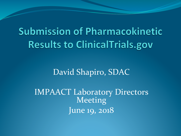# **Submission of Pharmacokinetic Results to ClinicalTrials.gov**

David Shapiro, SDAC

IMPAACT Laboratory Directors Meeting June 19, 2018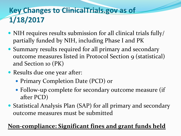## **Key Changes to ClinicalTrials.gov as of 1/18/2017**

- NIH requires results submission for all clinical trials fully/ partially funded by NIH, including Phase I and PK
- Summary results required for all primary and secondary outcome measures listed in Protocol Section 9 (statistical) and Section 10 (PK)
- Results due one year after:
	- Primary Completion Date (PCD) or
	- Follow-up complete for secondary outcome measure (if after PCD)
- Statistical Analysis Plan (SAP) for all primary and secondary outcome measures must be submitted

#### Non-compliance: Significant fines and grant funds held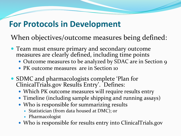# **For Protocols in Development**

When objectives/outcome measures being defined:

- Team must ensure primary and secondary outcome measures are clearly defined, including time points
	- Outcome measures to be analyzed by SDAC are in Section 9
	- PK outcome measures are in Section 10
- SDMC and pharmacologists complete 'Plan for ClinicalTrials.gov Results Entry'. Defines:
	- Which PK outcome measures will require results entry
	- Timeline (including sample shipping and running assays)
	- Who is responsible for summarizing results
		- Statistician (from data housed at DMC); or
		- Pharmacologist
	- Who is responsible for results entry into ClinicalTrials.gov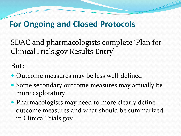### **For Ongoing and Closed Protocols**

SDAC and pharmacologists complete 'Plan for ClinicalTrials.gov Results Entry'

But: 

- Outcome measures may be less well-defined
- Some secondary outcome measures may actually be more exploratory
- Pharmacologists may need to more clearly define outcome measures and what should be summarized in ClinicalTrials.gov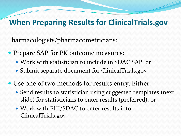#### **When Preparing Results for ClinicalTrials.gov**

Pharmacologists/pharmacometricians: 

- Prepare SAP for PK outcome measures:
	- Work with statistician to include in SDAC SAP, or
	- Submit separate document for ClinicalTrials.gov
- Use one of two methods for results entry. Either:
	- Send results to statistician using suggested templates (next slide) for statisticians to enter results (preferred), or
	- Work with FHI/SDAC to enter results into ClinicalTrials.gov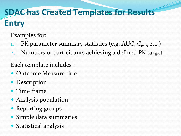# **SDAC has Created Templates for Results Entry**

Examples for:

- 1. PK parameter summary statistics (e.g. AUC,  $C_{\text{min}}$  etc.)
- 2. Numbers of participants achieving a defined PK target

Each template includes :

- Outcome Measure title
- Description
- Time frame
- Analysis population
- Reporting groups
- Simple data summaries
- Statistical analysis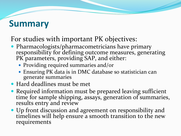# **Summary**

#### For studies with important PK objectives:

- Pharmacologists/pharmacometricians have primary<br>responsibility for defining outcome measures, generating PK parameters, providing SAP, and either:
	- Providing required summaries and/or
	- Ensuring PK data is in DMC database so statistician can generate summaries
- Hard deadlines must be met
- Required information must be prepared leaving sufficient time for sample shipping, assays, generation of summaries, results entry and review
- Up front discussion and agreement on responsibility and timelines will help ensure a smooth transition to the new requirements